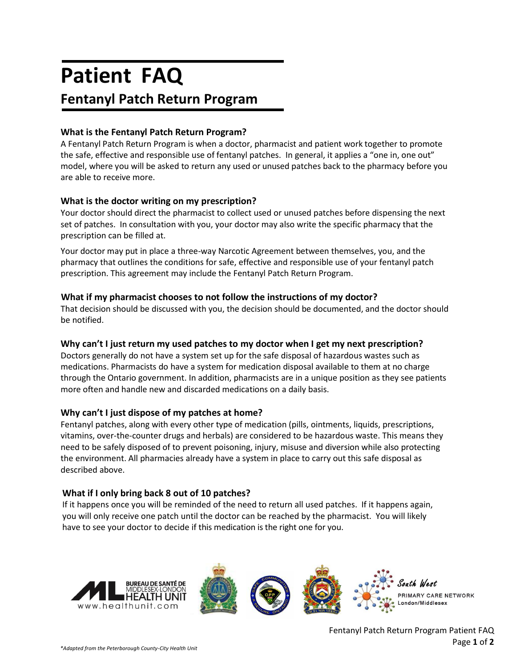# **Patient FAQ Fentanyl Patch Return Program**

# **What is the Fentanyl Patch Return Program?**

A Fentanyl Patch Return Program is when a doctor, pharmacist and patient work together to promote the safe, effective and responsible use of fentanyl patches. In general, it applies a "one in, one out" model, where you will be asked to return any used or unused patches back to the pharmacy before you are able to receive more.

# **What is the doctor writing on my prescription?**

Your doctor should direct the pharmacist to collect used or unused patches before dispensing the next set of patches. In consultation with you, your doctor may also write the specific pharmacy that the prescription can be filled at.

Your doctor may put in place a three-way Narcotic Agreement between themselves, you, and the pharmacy that outlines the conditions for safe, effective and responsible use of your fentanyl patch prescription. This agreement may include the Fentanyl Patch Return Program.

# **What if my pharmacist chooses to not follow the instructions of my doctor?**

That decision should be discussed with you, the decision should be documented, and the doctor should be notified.

# **Why can't I just return my used patches to my doctor when I get my next prescription?**

Doctors generally do not have a system set up for the safe disposal of hazardous wastes such as medications. Pharmacists do have a system for medication disposal available to them at no charge through the Ontario government. In addition, pharmacists are in a unique position as they see patients more often and handle new and discarded medications on a daily basis.

## **Why can't I just dispose of my patches at home?**

Fentanyl patches, along with every other type of medication (pills, ointments, liquids, prescriptions, vitamins, over-the-counter drugs and herbals) are considered to be hazardous waste. This means they need to be safely disposed of to prevent poisoning, injury, misuse and diversion while also protecting the environment. All pharmacies already have a system in place to carry out this safe disposal as described above.

## **What if I only bring back 8 out of 10 patches?**

If it happens once you will be reminded of the need to return all used patches. If it happens again, you will only receive one patch until the doctor can be reached by the pharmacist. You will likely have to see your doctor to decide if this medication is the right one for you.



 Fentanyl Patch Return Program Patient FAQ Page **1** of **2**